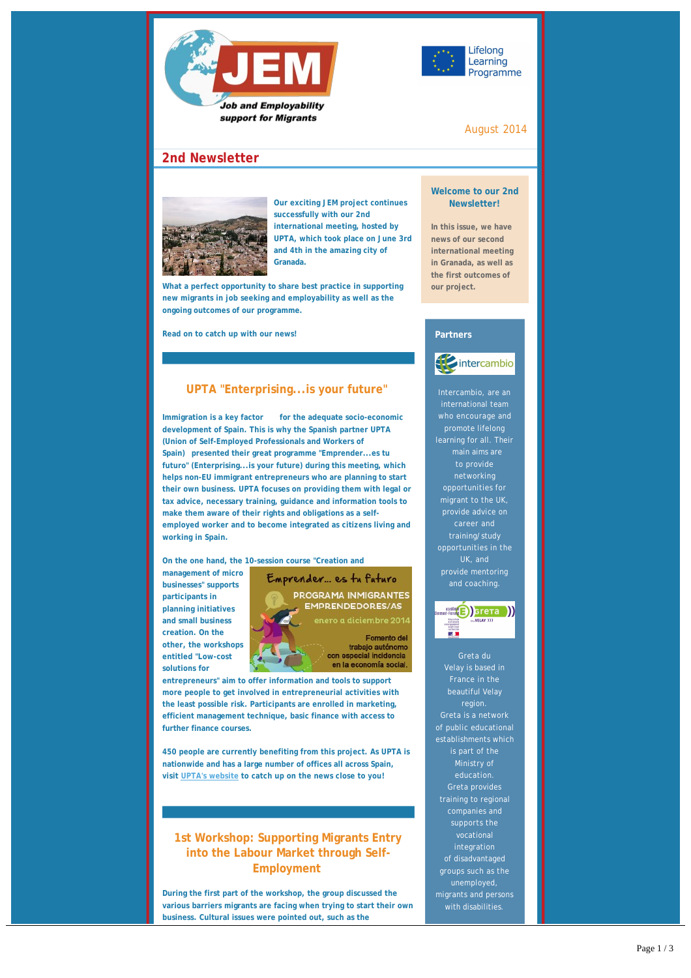



### August 2014

# **2nd Newsletter**



**Our exciting JEM project continues successfully with our 2nd international meeting, hosted by UPTA, which took place on June 3rd and 4th in the amazing city of Granada.** 

**What a perfect opportunity to share best practice in supporting new migrants in job seeking and employability as well as the ongoing outcomes of our programme.** 

**Read on to catch up with our news!**

## **UPTA "Enterprising...is your future"**

**Immigration is a key factor** for the adequate socio-economic **development of Spain. This is why the Spanish partner UPTA (Union of Self-Employed Professionals and Workers of Spain) presented their great programme "Emprender...es tu futuro" (Enterprising...is your future) during this meeting, which helps non-EU immigrant entrepreneurs who are planning to start their own business. UPTA focuses on providing them with legal or tax advice, necessary training, guidance and information tools to make them aware of their rights and obligations as a selfemployed worker and to become integrated as citizens living and working in Spain.** 

**On the one hand, the 10-session course "Creation and**

**management of micro businesses" supports participants in planning initiatives and small business creation. On the other, the workshops entitled "Low-cost solutions for**



en la economía social.

**entrepreneurs" aim to offer information and tools to support more people to get involved in entrepreneurial activities with the least possible risk. Participants are enrolled in marketing, efficient management technique, basic finance with access to further finance courses.**

**450 people are currently benefiting from this project. As UPTA is nationwide and has a large number of offices all across Spain, visit [UPTA's website](http://upta.es/) to catch up on the news close to you!**

# **1st Workshop: Supporting Migrants Entry into the Labour Market through Self-Employment**

**During the first part of the workshop, the group discussed the various barriers migrants are facing when trying to start their own business. Cultural issues were pointed out, such as the**

**stereotypes they are facing. Some of our participants were**

#### **Welcome to our 2nd Newsletter!**

**In this issue, we have news of our second international meeting in Granada, as well as the first outcomes of our project.**

### **Partners**

**A** intercambio

international team who encourage and promote lifelong learning for all. Their to provide networking opportunities for migrant to the UK, opportunities in the provide mentoring and coaching.



Greta du region. Greta is a network of public educational Ministry of education. Greta provides training to regional companies and supports the vocational integration of disadvantaged groups such as the with disabilities.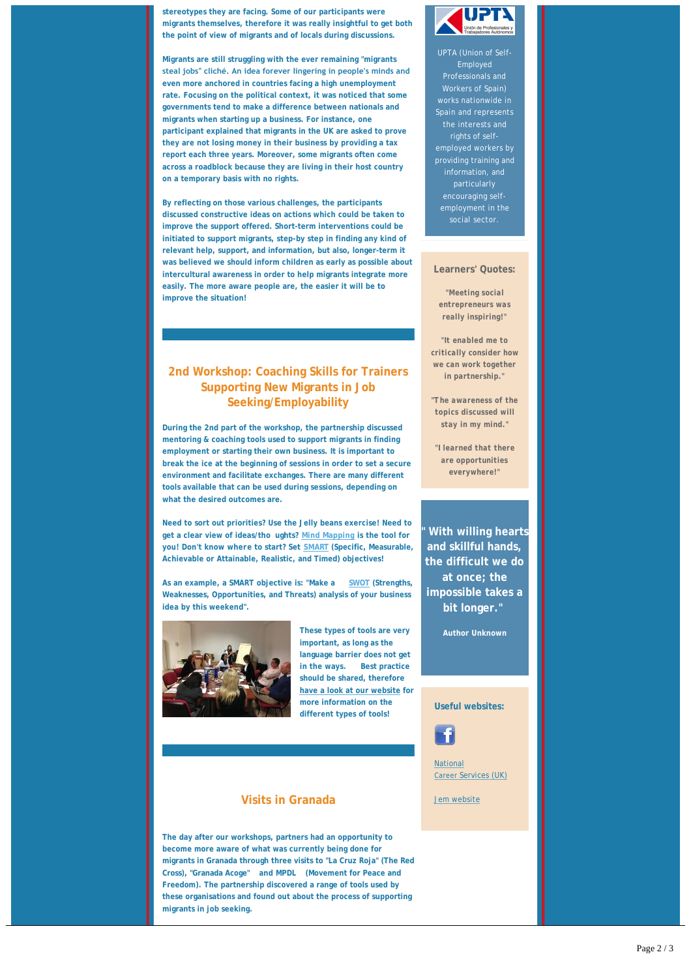**stereotypes they are facing. Some of our participants were migrants themselves, therefore it was really insightful to get both the point of view of migrants and of locals during discussions.**

**Migrants are still struggling with the ever remaining "migrants steal jobs" cliché. An idea forever lingering in people's minds and even more anchored in countries facing a high unemployment rate. Focusing on the political context, it was noticed that some governments tend to make a difference between nationals and migrants when starting up a business. For instance, one participant explained that migrants in the UK are asked to prove they are not losing money in their business by providing a tax report each three years. Moreover, some migrants often come across a roadblock because they are living in their host country on a temporary basis with no rights.** 

**By reflecting on those various challenges, the participants discussed constructive ideas on actions which could be taken to improve the support offered. Short-term interventions could be initiated to support migrants, step-by step in finding any kind of relevant help, support, and information, but also, longer-term it was believed we should inform children as early as possible about intercultural awareness in order to help migrants integrate more easily. The more aware people are, the easier it will be to improve the situation!**

# **2nd Workshop: Coaching Skills for Trainers Supporting New Migrants in Job Seeking/Employability**

**During the 2nd part of the workshop, the partnership discussed mentoring & coaching tools used to support migrants in finding employment or starting their own business. It is important to break the ice at the beginning of sessions in order to set a secure environment and facilitate exchanges. There are many different tools available that can be used during sessions, depending on what the desired outcomes are.** 

**Need to sort out priorities? Use the Jelly beans exercise! Need to get a clear view of ideas/tho ughts? [Mind Mapping](http://www.mindtools.com/pages/article/newISS_01.htm) is the tool for you! Don't know where to start? Set [SMART](http://www.projectsmart.co.uk/smart-goals.php?gclid=CLfYiMvi_r8CFQsEwwod6rwAng) (Specific, Measurable, Achievable or Attainable, Realistic, and Timed) objectives!**

**As an example, a SMART objective is: "Make a [SWOT](http://www.mindtools.com/pages/article/newTMC_05.htm) (Strengths, Weaknesses, Opportunities, and Threats) analysis of your business idea by this weekend".** 



**These types of tools are very important, as long as the language barrier does not get in the ways. Best practice should be shared, therefore [have a look at our website](http://www.inovaconsult.com/) for more information on the different types of tools!**

## **Visits in Granada**

**The day after our workshops, partners had an opportunity to become more aware of what was currently being done for migrants in Granada through three visits to "La Cruz Roja" (The Red Cross), "Granada Acoge" and MPDL (Movement for Peace and Freedom). The partnership discovered a range of tools used by these organisations and found out about the process of supporting migrants in job seeking.**



UPTA (Union of Self-Employed Professionals and Workers of Spain) works nationwide in Spain and represents the interests and rights of selfemployed workers by providing training and encouraging selfemployment in the social sector.

### **Learners' Quotes:**

*"Meeting social entrepreneurs was really inspiring!"*

*"It enabled me to critically consider how we can work together in partnership."*

*"The awareness of the topics discussed will stay in my mind."*

*"I learned that there are opportunities everywhere!"*

**" With willing hearts and skillful hands, the difficult we do at once; the impossible takes a bit longer."** 

**Author Unknown**

#### **Useful websites:**



National Career [Services \(UK\)](https://nationalcareersservice.direct.gov.uk/aboutus/newsarticles/Pages/Spotlight-SoftSkills.aspx)

[Jem website](http://www.jem.dedi.velay.greta.fr)